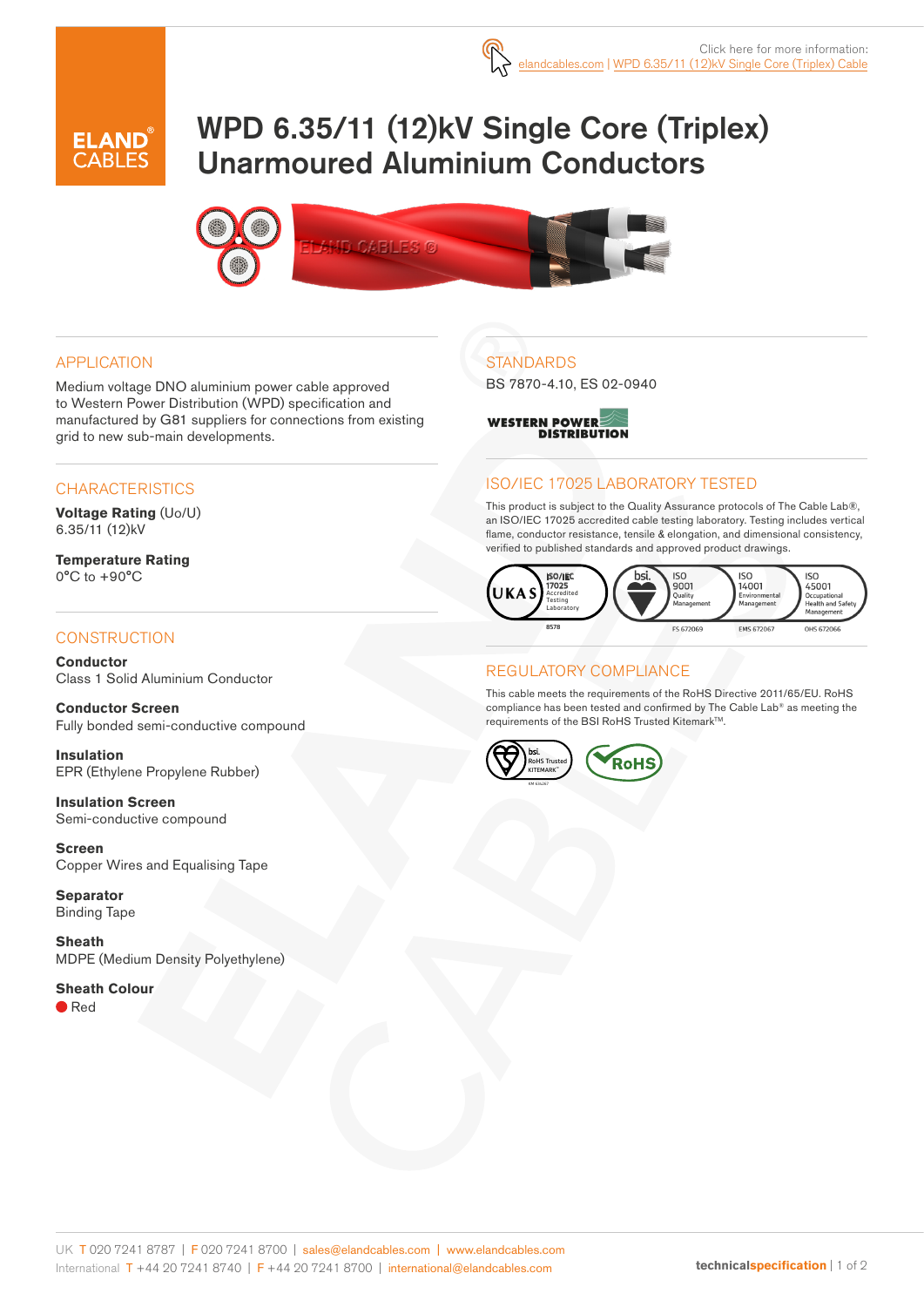

# WPD 6.35/11 (12)kV Single Core (Triplex) Unarmoured Aluminium Conductors



#### APPLICATION

Medium voltage DNO aluminium power cable approved to Western Power Distribution (WPD) specification and manufactured by G81 suppliers for connections from existing grid to new sub-main developments.

#### **CHARACTERISTICS**

**Voltage Rating** (Uo/U) 6.35/11 (12)kV

**Temperature Rating** 0°C to +90°C

#### **CONSTRUCTION**

**Conductor** Class 1 Solid Aluminium Conductor

**Conductor Screen** Fully bonded semi-conductive compound

**Insulation** EPR (Ethylene Propylene Rubber)

**Insulation Screen** Semi-conductive compound

**Screen** Copper Wires and Equalising Tape

**Separator** Binding Tape

**Sheath** MDPE (Medium Density Polyethylene)

#### **Sheath Colour**

● Red

## **STANDARDS**

BS 7870-4.10, ES 02-0940



### ISO/IEC 17025 LABORATORY TESTED

This product is subject to the Quality Assurance protocols of The Cable Lab®, an ISO/IEC 17025 accredited cable testing laboratory. Testing includes vertical flame, conductor resistance, tensile & elongation, and dimensional consistency, verified to published standards and approved product drawings.



#### REGULATORY COMPLIANCE

This cable meets the requirements of the RoHS Directive 2011/65/EU. RoHS compliance has been tested and confirmed by The Cable Lab® as meeting the requirements of the BSI RoHS Trusted Kitemark™.